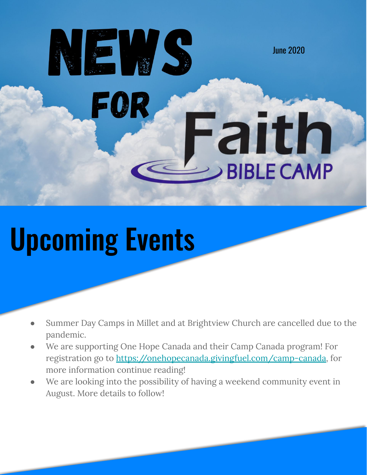# FQ aith **BIBLE CAMP**

June 2020

## Upcoming Events

HE VS

- Summer Day Camps in Millet and at Brightview Church are cancelled due to the pandemic.
- We are supporting One Hope Canada and their Camp Canada program! For registration go to <https://onehopecanada.givingfuel.com/camp-canada>, for more information continue reading!
- We are looking into the possibility of having a weekend community event in August. More details to follow!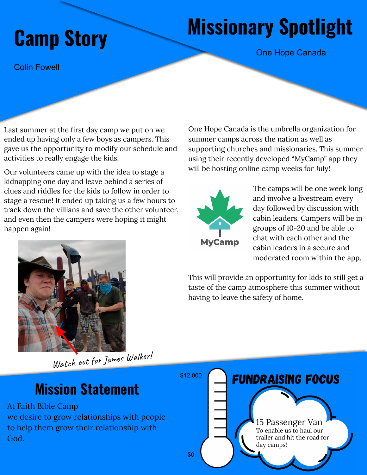### **Missionary Spotlight Camp Story**

One Hope Canada

Colin Fowell

Last summer at the first day camp we put on we ended up having only a few boys as campers. This gave us the opportunity to modify our schedule and activities to really engage the kids.

Our volunteers came up with the idea to stage a kidnapping one day and leave behind a series of clues and riddles for the kids to follow in order to stage a rescue! It ended up taking us a few hours to track down the villians and save the other volunteer, and even then the campers were hoping it might happen again!

One Hope Canada is the umbrella organization for summer camps across the nation as well as supporting churches and missionaries. This summer using their recently developed "MyCamp" app they will be hosting online camp weeks for July!



The camps will be one week long and involve a livestream every day followed by discussion with cabin leaders. Campers will be in groups of 10-20 and be able to chat with each other and the cabin leaders in a secure and moderated room within the app.

This will provide an opportunity for kids to still get a taste of the camp atmosphere this summer without having to leave the safety of home.



Watch out for James Walker!

#### **Mission Statement**

At Faith Bible Camp

we desire to grow relationships with people to help them grow their relationship with God.